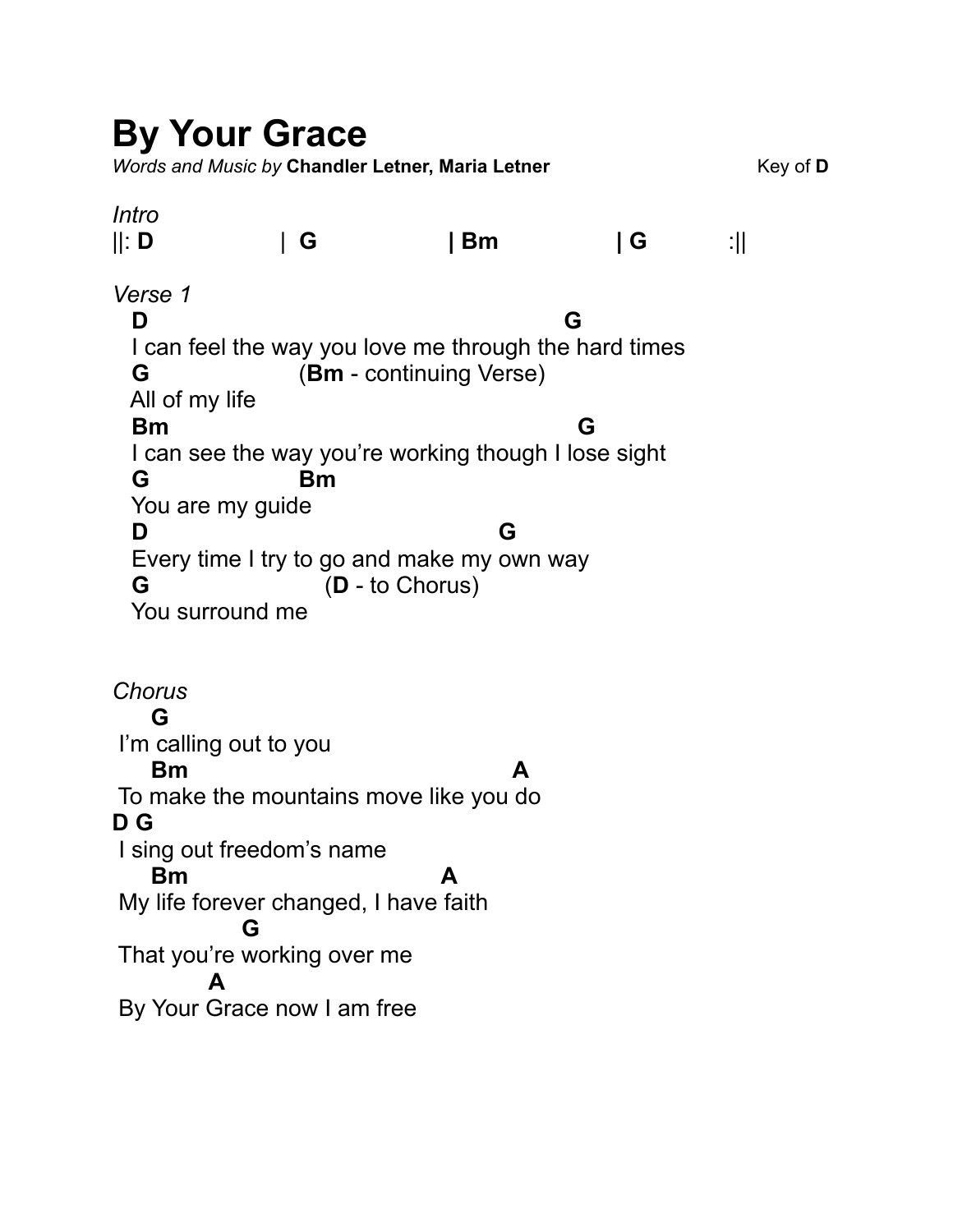## **By Your Grace**

*Words and Music by Chandler Letner, Maria Letner* **Key of D** Key of D

## *Intro*  ||: **D** | **G | Bm | G** :|| *Verse 1* **D G**  I can feel the way you love me through the hard times  **G** (**Bm** - continuing Verse) All of my life **Bm** G I can see the way you're working though I lose sight  **G Bm**  You are my guide  **D G**  Every time I try to go and make my own way  **G** (**D** - to Chorus) You surround me

*Chorus*   **G**  I'm calling out to you **Bm A**  To make the mountains move like you do **D G**  I sing out freedom's name **Bm A**  My life forever changed, I have faith  **G**  That you're working over me  **A**  By Your Grace now I am free